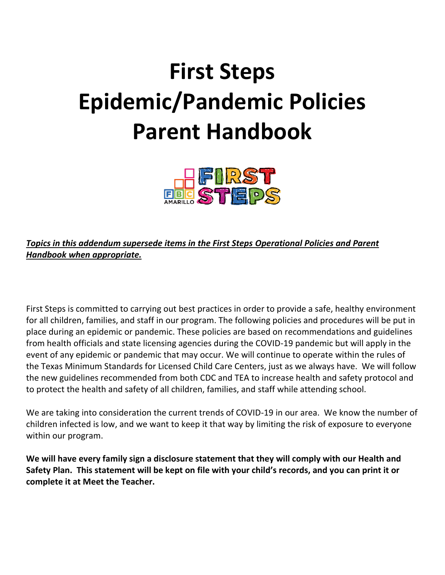# **First Steps Epidemic/Pandemic Policies Parent Handbook**



*Topics in this addendum supersede items in the First Steps Operational Policies and Parent Handbook when appropriate.* 

First Steps is committed to carrying out best practices in order to provide a safe, healthy environment for all children, families, and staff in our program. The following policies and procedures will be put in place during an epidemic or pandemic. These policies are based on recommendations and guidelines from health officials and state licensing agencies during the COVID-19 pandemic but will apply in the event of any epidemic or pandemic that may occur. We will continue to operate within the rules of the Texas Minimum Standards for Licensed Child Care Centers, just as we always have. We will follow the new guidelines recommended from both CDC and TEA to increase health and safety protocol and to protect the health and safety of all children, families, and staff while attending school.

We are taking into consideration the current trends of COVID-19 in our area. We know the number of children infected is low, and we want to keep it that way by limiting the risk of exposure to everyone within our program.

**We will have every family sign a disclosure statement that they will comply with our Health and Safety Plan. This statement will be kept on file with your child's records, and you can print it or complete it at Meet the Teacher.**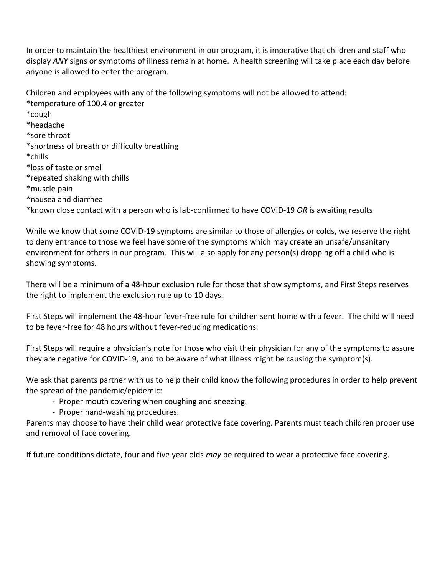In order to maintain the healthiest environment in our program, it is imperative that children and staff who display *ANY* signs or symptoms of illness remain at home. A health screening will take place each day before anyone is allowed to enter the program.

Children and employees with any of the following symptoms will not be allowed to attend:

\*temperature of 100.4 or greater \*cough \*headache \*sore throat \*shortness of breath or difficulty breathing \*chills \*loss of taste or smell \*repeated shaking with chills \*muscle pain \*nausea and diarrhea \*known close contact with a person who is lab-confirmed to have COVID-19 *OR* is awaiting results

While we know that some COVID-19 symptoms are similar to those of allergies or colds, we reserve the right to deny entrance to those we feel have some of the symptoms which may create an unsafe/unsanitary environment for others in our program. This will also apply for any person(s) dropping off a child who is showing symptoms.

There will be a minimum of a 48-hour exclusion rule for those that show symptoms, and First Steps reserves the right to implement the exclusion rule up to 10 days.

First Steps will implement the 48-hour fever-free rule for children sent home with a fever. The child will need to be fever-free for 48 hours without fever-reducing medications.

First Steps will require a physician's note for those who visit their physician for any of the symptoms to assure they are negative for COVID-19, and to be aware of what illness might be causing the symptom(s).

We ask that parents partner with us to help their child know the following procedures in order to help prevent the spread of the pandemic/epidemic:

- Proper mouth covering when coughing and sneezing.
- Proper hand-washing procedures.

Parents may choose to have their child wear protective face covering. Parents must teach children proper use and removal of face covering.

If future conditions dictate, four and five year olds *may* be required to wear a protective face covering.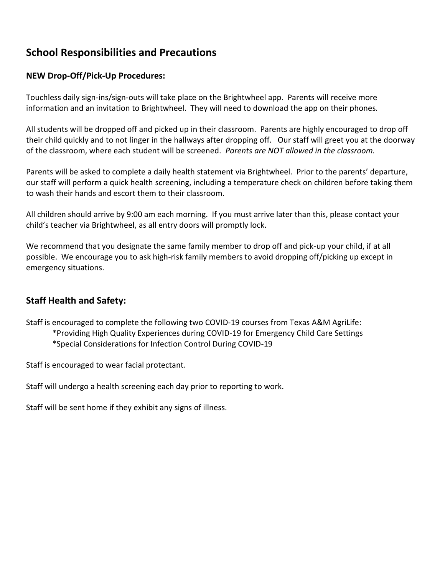# **School Responsibilities and Precautions**

#### **NEW Drop-Off/Pick-Up Procedures:**

Touchless daily sign-ins/sign-outs will take place on the Brightwheel app. Parents will receive more information and an invitation to Brightwheel. They will need to download the app on their phones.

All students will be dropped off and picked up in their classroom. Parents are highly encouraged to drop off their child quickly and to not linger in the hallways after dropping off. Our staff will greet you at the doorway of the classroom, where each student will be screened. *Parents are NOT allowed in the classroom.*

Parents will be asked to complete a daily health statement via Brightwheel. Prior to the parents' departure, our staff will perform a quick health screening, including a temperature check on children before taking them to wash their hands and escort them to their classroom.

All children should arrive by 9:00 am each morning. If you must arrive later than this, please contact your child's teacher via Brightwheel, as all entry doors will promptly lock.

We recommend that you designate the same family member to drop off and pick-up your child, if at all possible. We encourage you to ask high-risk family members to avoid dropping off/picking up except in emergency situations.

## **Staff Health and Safety:**

Staff is encouraged to complete the following two COVID-19 courses from Texas A&M AgriLife:

- \*Providing High Quality Experiences during COVID-19 for Emergency Child Care Settings
- \*Special Considerations for Infection Control During COVID-19

Staff is encouraged to wear facial protectant.

Staff will undergo a health screening each day prior to reporting to work.

Staff will be sent home if they exhibit any signs of illness.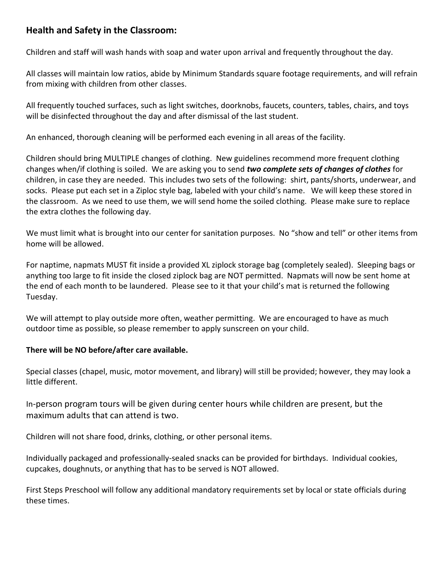## **Health and Safety in the Classroom:**

Children and staff will wash hands with soap and water upon arrival and frequently throughout the day.

All classes will maintain low ratios, abide by Minimum Standards square footage requirements, and will refrain from mixing with children from other classes.

All frequently touched surfaces, such as light switches, doorknobs, faucets, counters, tables, chairs, and toys will be disinfected throughout the day and after dismissal of the last student.

An enhanced, thorough cleaning will be performed each evening in all areas of the facility.

Children should bring MULTIPLE changes of clothing. New guidelines recommend more frequent clothing changes when/if clothing is soiled. We are asking you to send *two complete sets of changes of clothes* for children, in case they are needed. This includes two sets of the following: shirt, pants/shorts, underwear, and socks. Please put each set in a Ziploc style bag, labeled with your child's name. We will keep these stored in the classroom. As we need to use them, we will send home the soiled clothing. Please make sure to replace the extra clothes the following day.

We must limit what is brought into our center for sanitation purposes. No "show and tell" or other items from home will be allowed.

For naptime, napmats MUST fit inside a provided XL ziplock storage bag (completely sealed). Sleeping bags or anything too large to fit inside the closed ziplock bag are NOT permitted. Napmats will now be sent home at the end of each month to be laundered. Please see to it that your child's mat is returned the following Tuesday.

We will attempt to play outside more often, weather permitting. We are encouraged to have as much outdoor time as possible, so please remember to apply sunscreen on your child.

#### **There will be NO before/after care available.**

Special classes (chapel, music, motor movement, and library) will still be provided; however, they may look a little different.

In-person program tours will be given during center hours while children are present, but the maximum adults that can attend is two.

Children will not share food, drinks, clothing, or other personal items.

Individually packaged and professionally-sealed snacks can be provided for birthdays. Individual cookies, cupcakes, doughnuts, or anything that has to be served is NOT allowed.

First Steps Preschool will follow any additional mandatory requirements set by local or state officials during these times.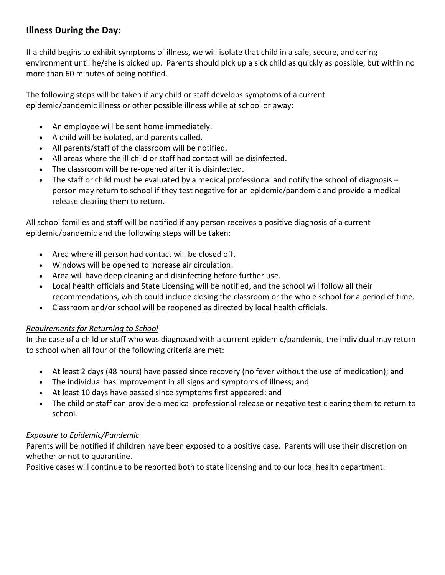## **Illness During the Day:**

If a child begins to exhibit symptoms of illness, we will isolate that child in a safe, secure, and caring environment until he/she is picked up. Parents should pick up a sick child as quickly as possible, but within no more than 60 minutes of being notified.

The following steps will be taken if any child or staff develops symptoms of a current epidemic/pandemic illness or other possible illness while at school or away:

- An employee will be sent home immediately.
- A child will be isolated, and parents called.
- All parents/staff of the classroom will be notified.
- All areas where the ill child or staff had contact will be disinfected.
- The classroom will be re-opened after it is disinfected.
- The staff or child must be evaluated by a medical professional and notify the school of diagnosis person may return to school if they test negative for an epidemic/pandemic and provide a medical release clearing them to return.

All school families and staff will be notified if any person receives a positive diagnosis of a current epidemic/pandemic and the following steps will be taken:

- Area where ill person had contact will be closed off.
- Windows will be opened to increase air circulation.
- Area will have deep cleaning and disinfecting before further use.
- Local health officials and State Licensing will be notified, and the school will follow all their recommendations, which could include closing the classroom or the whole school for a period of time.
- Classroom and/or school will be reopened as directed by local health officials.

#### *Requirements for Returning to School*

In the case of a child or staff who was diagnosed with a current epidemic/pandemic, the individual may return to school when all four of the following criteria are met:

- At least 2 days (48 hours) have passed since recovery (no fever without the use of medication); and
- The individual has improvement in all signs and symptoms of illness; and
- At least 10 days have passed since symptoms first appeared: and
- The child or staff can provide a medical professional release or negative test clearing them to return to school.

#### *Exposure to Epidemic/Pandemic*

Parents will be notified if children have been exposed to a positive case. Parents will use their discretion on whether or not to quarantine.

Positive cases will continue to be reported both to state licensing and to our local health department.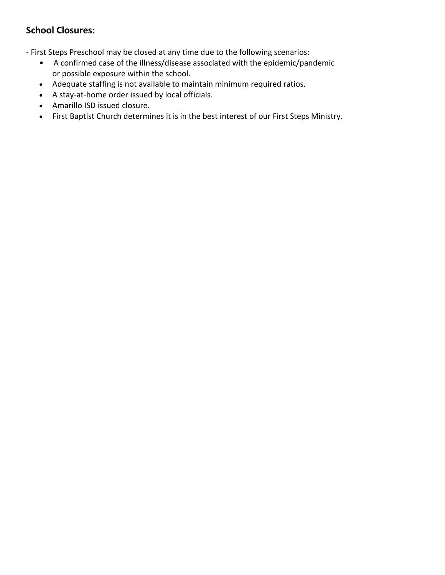# **School Closures:**

- First Steps Preschool may be closed at any time due to the following scenarios:

- A confirmed case of the illness/disease associated with the epidemic/pandemic or possible exposure within the school.
- Adequate staffing is not available to maintain minimum required ratios.
- A stay-at-home order issued by local officials.
- Amarillo ISD issued closure.
- First Baptist Church determines it is in the best interest of our First Steps Ministry.